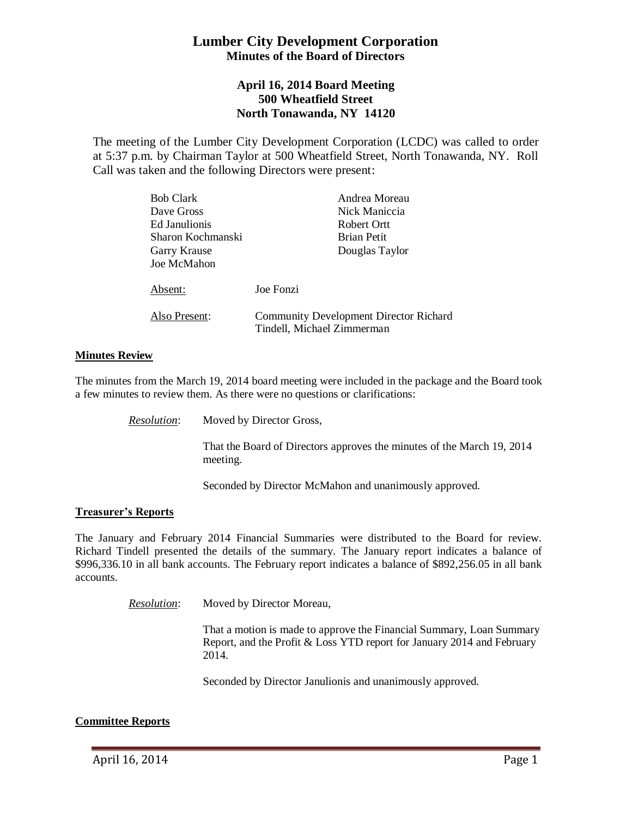# **Lumber City Development Corporation Minutes of the Board of Directors**

## **April 16, 2014 Board Meeting 500 Wheatfield Street North Tonawanda, NY 14120**

The meeting of the Lumber City Development Corporation (LCDC) was called to order at 5:37 p.m. by Chairman Taylor at 500 Wheatfield Street, North Tonawanda, NY. Roll Call was taken and the following Directors were present:

| <b>Bob Clark</b>  | Andrea Moreau                                 |
|-------------------|-----------------------------------------------|
| Dave Gross        | Nick Maniccia                                 |
| Ed Janulionis     | Robert Ortt                                   |
| Sharon Kochmanski | <b>Brian Petit</b>                            |
| Garry Krause      | Douglas Taylor                                |
| Joe McMahon       |                                               |
|                   |                                               |
| Absent:           | Joe Fonzi                                     |
|                   |                                               |
| Also Present:     | <b>Community Development Director Richard</b> |
|                   | Tindell, Michael Zimmerman                    |

### **Minutes Review**

The minutes from the March 19, 2014 board meeting were included in the package and the Board took a few minutes to review them. As there were no questions or clarifications:

*Resolution*: Moved by Director Gross,

That the Board of Directors approves the minutes of the March 19, 2014 meeting.

Seconded by Director McMahon and unanimously approved.

#### **Treasurer's Reports**

The January and February 2014 Financial Summaries were distributed to the Board for review. Richard Tindell presented the details of the summary. The January report indicates a balance of \$996,336.10 in all bank accounts. The February report indicates a balance of \$892,256.05 in all bank accounts.

*Resolution*: Moved by Director Moreau,

That a motion is made to approve the Financial Summary, Loan Summary Report, and the Profit & Loss YTD report for January 2014 and February 2014.

Seconded by Director Janulionis and unanimously approved.

### **Committee Reports**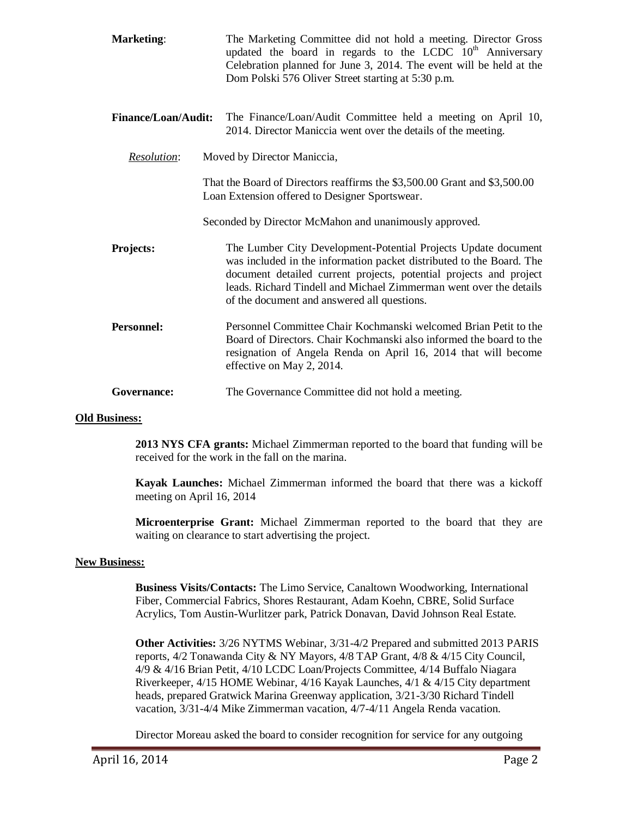| <b>Marketing:</b>          | The Marketing Committee did not hold a meeting. Director Gross<br>updated the board in regards to the LCDC $10th$ Anniversary<br>Celebration planned for June 3, 2014. The event will be held at the<br>Dom Polski 576 Oliver Street starting at 5:30 p.m.                                                                        |  |
|----------------------------|-----------------------------------------------------------------------------------------------------------------------------------------------------------------------------------------------------------------------------------------------------------------------------------------------------------------------------------|--|
| <b>Finance/Loan/Audit:</b> | The Finance/Loan/Audit Committee held a meeting on April 10,<br>2014. Director Maniccia went over the details of the meeting.                                                                                                                                                                                                     |  |
| Resolution:                | Moved by Director Maniccia,                                                                                                                                                                                                                                                                                                       |  |
|                            | That the Board of Directors reaffirms the \$3,500.00 Grant and \$3,500.00<br>Loan Extension offered to Designer Sportswear.                                                                                                                                                                                                       |  |
|                            | Seconded by Director McMahon and unanimously approved.                                                                                                                                                                                                                                                                            |  |
| <b>Projects:</b>           | The Lumber City Development-Potential Projects Update document<br>was included in the information packet distributed to the Board. The<br>document detailed current projects, potential projects and project<br>leads. Richard Tindell and Michael Zimmerman went over the details<br>of the document and answered all questions. |  |
| <b>Personnel:</b>          | Personnel Committee Chair Kochmanski welcomed Brian Petit to the<br>Board of Directors. Chair Kochmanski also informed the board to the<br>resignation of Angela Renda on April 16, 2014 that will become<br>effective on May 2, 2014.                                                                                            |  |
| Governance:                | The Governance Committee did not hold a meeting.                                                                                                                                                                                                                                                                                  |  |

#### **Old Business:**

**2013 NYS CFA grants:** Michael Zimmerman reported to the board that funding will be received for the work in the fall on the marina.

**Kayak Launches:** Michael Zimmerman informed the board that there was a kickoff meeting on April 16, 2014

**Microenterprise Grant:** Michael Zimmerman reported to the board that they are waiting on clearance to start advertising the project.

#### **New Business:**

**Business Visits/Contacts:** The Limo Service, Canaltown Woodworking, International Fiber, Commercial Fabrics, Shores Restaurant, Adam Koehn, CBRE, Solid Surface Acrylics, Tom Austin-Wurlitzer park, Patrick Donavan, David Johnson Real Estate.

**Other Activities:** 3/26 NYTMS Webinar, 3/31-4/2 Prepared and submitted 2013 PARIS reports, 4/2 Tonawanda City & NY Mayors, 4/8 TAP Grant, 4/8 & 4/15 City Council, 4/9 & 4/16 Brian Petit, 4/10 LCDC Loan/Projects Committee, 4/14 Buffalo Niagara Riverkeeper, 4/15 HOME Webinar, 4/16 Kayak Launches, 4/1 & 4/15 City department heads, prepared Gratwick Marina Greenway application, 3/21-3/30 Richard Tindell vacation, 3/31-4/4 Mike Zimmerman vacation, 4/7-4/11 Angela Renda vacation.

Director Moreau asked the board to consider recognition for service for any outgoing